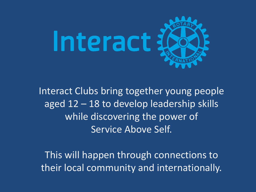

Interact Clubs bring together young people aged 12 – 18 to develop leadership skills while discovering the power of Service Above Self.

This will happen through connections to their local community and internationally.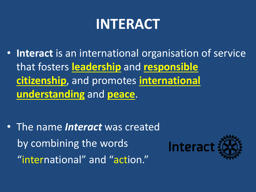• **Interact** is an international organisation of service that fosters **leadership** and **responsible citizenship**, and promotes **international understanding** and **peace**.

• The name *Interact* was created by combining the words "international" and "action."

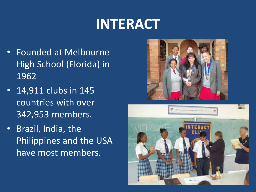- Founded at Melbourne High School (Florida) in 1962
- 14,911 clubs in 145 countries with over 342,953 members.
- Brazil, India, the Philippines and the USA have most members.



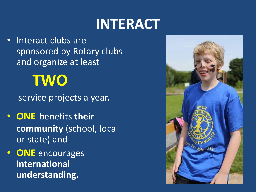Interact clubs are sponsored by Rotary clubs and organize at least

# **TWO**

service projects a year.

- **ONE** benefits **their community** (school, local or state) and
- **ONE** encourages **international understanding.**

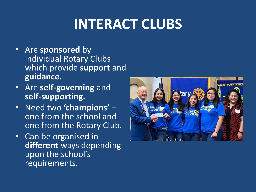# **INTERACT CLUBS**

- Are **sponsored** by individual Rotary Clubs which provide **support** and **guidance.**
- Are **self-governing** and **self-supporting.**
- Need two **'champions'**  one from the school and one from the Rotary Club.
- Can be organised in **different** ways depending upon the school's requirements.

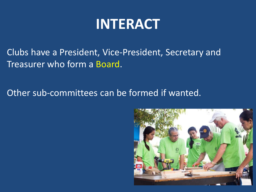Clubs have a President, Vice-President, Secretary and Treasurer who form a Board.

Other sub-committees can be formed if wanted.

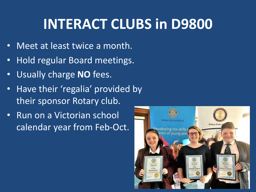# **INTERACT CLUBS in D9800**

- Meet at least twice a month.
- Hold regular Board meetings.
- Usually charge **NO** fees.
- Have their 'regalia' provided by their sponsor Rotary club.
- Run on a Victorian school calendar year from Feb-Oct.

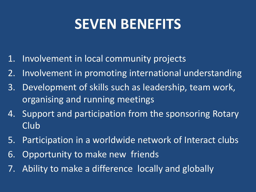## **SEVEN BENEFITS**

- 1. Involvement in local community projects
- 2. Involvement in promoting international understanding
- 3. Development of skills such as leadership, team work, organising and running meetings
- 4. Support and participation from the sponsoring Rotary Club
- 5. Participation in a worldwide network of Interact clubs
- 6. Opportunity to make new friends
- 7. Ability to make a difference locally and globally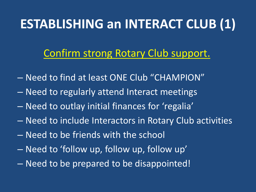## **ESTABLISHING an INTERACT CLUB (1)**

### Confirm strong Rotary Club support.

- Need to find at least ONE Club "CHAMPION"
- Need to regularly attend Interact meetings
- Need to outlay initial finances for 'regalia'
- Need to include Interactors in Rotary Club activities
- Need to be friends with the school
- Need to 'follow up, follow up, follow up'
- Need to be prepared to be disappointed!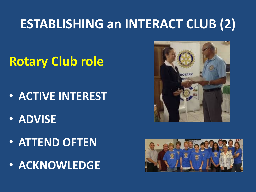## **ESTABLISHING an INTERACT CLUB (2)**

## **Rotary Club role**

- **ACTIVE INTEREST**
- **ADVISE**
- **ATTEND OFTEN**
- **ACKNOWLEDGE**



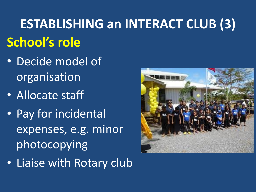# **ESTABLISHING an INTERACT CLUB (3) School's role**

- Decide model of organisation
- Allocate staff
- Pay for incidental expenses, e.g. minor photocopying
- Liaise with Rotary club

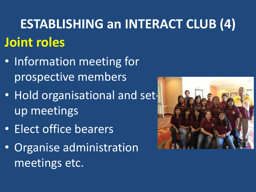# **ESTABLISHING an INTERACT CLUB (4) Joint roles**

- Information meeting for prospective members
- Hold organisational and setup meetings
- Elect office bearers
- Organise administration meetings etc.

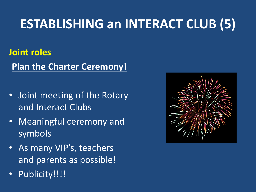## **ESTABLISHING an INTERACT CLUB (5)**

### **Joint roles**

**Plan the Charter Ceremony!**

- Joint meeting of the Rotary and Interact Clubs
- Meaningful ceremony and symbols
- As many VIP's, teachers and parents as possible!
- Publicity!!!!

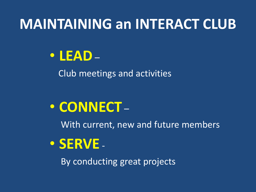## **MAINTAINING an INTERACT CLUB**

## • **LEAD**–

Club meetings and activities

## • **CONNECT** –

With current, new and future members

## • **SERVE** -

By conducting great projects